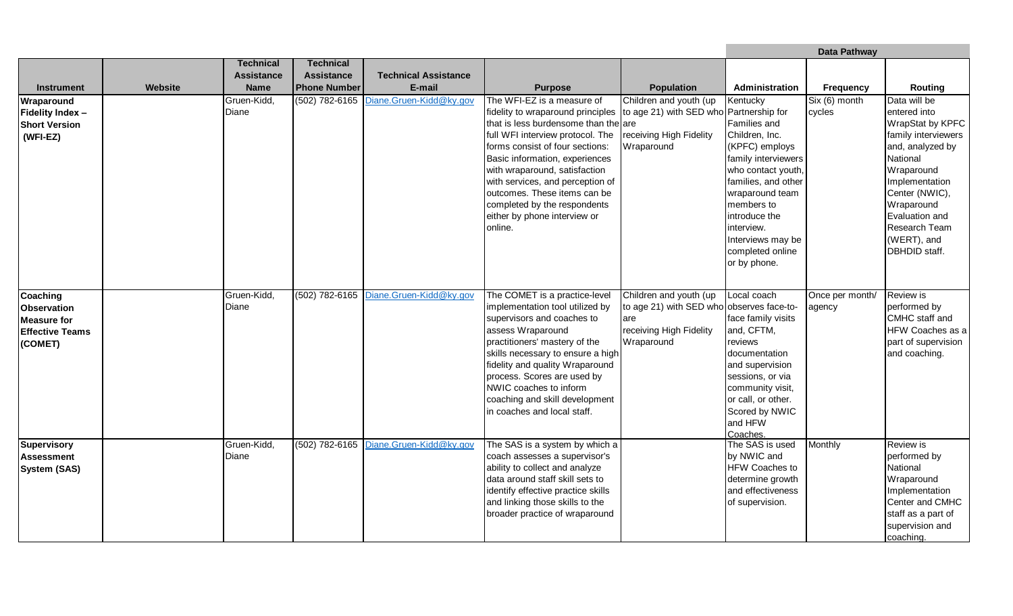|                                                                                           |         |                      |                     |                                        |                                                                                                                                                                                                                                                                                                                                                                                                                                          |                                                                                                                     | Data Pathway                                                                                                                                                                                                                                              |                                              |                                                                                                                                                                                                                                                   |
|-------------------------------------------------------------------------------------------|---------|----------------------|---------------------|----------------------------------------|------------------------------------------------------------------------------------------------------------------------------------------------------------------------------------------------------------------------------------------------------------------------------------------------------------------------------------------------------------------------------------------------------------------------------------------|---------------------------------------------------------------------------------------------------------------------|-----------------------------------------------------------------------------------------------------------------------------------------------------------------------------------------------------------------------------------------------------------|----------------------------------------------|---------------------------------------------------------------------------------------------------------------------------------------------------------------------------------------------------------------------------------------------------|
|                                                                                           |         | <b>Technical</b>     | <b>Technical</b>    |                                        |                                                                                                                                                                                                                                                                                                                                                                                                                                          |                                                                                                                     |                                                                                                                                                                                                                                                           |                                              |                                                                                                                                                                                                                                                   |
|                                                                                           |         | <b>Assistance</b>    | <b>Assistance</b>   | <b>Technical Assistance</b>            |                                                                                                                                                                                                                                                                                                                                                                                                                                          |                                                                                                                     |                                                                                                                                                                                                                                                           |                                              |                                                                                                                                                                                                                                                   |
| <b>Instrument</b>                                                                         | Website | <b>Name</b>          | <b>Phone Number</b> | E-mail                                 | <b>Purpose</b>                                                                                                                                                                                                                                                                                                                                                                                                                           | <b>Population</b>                                                                                                   | Administration                                                                                                                                                                                                                                            | <b>Frequency</b>                             | Routing                                                                                                                                                                                                                                           |
| Wraparound<br>Fidelity Index -<br><b>Short Version</b><br>$(WFI-EZ)$                      |         | Gruen-Kidd,<br>Diane |                     | (502) 782-6165 Diane.Gruen-Kidd@ky.gov | The WFI-EZ is a measure of<br>fidelity to wraparound principles to age 21) with SED who Partnership for<br>that is less burdensome than the are<br>full WFI interview protocol. The<br>forms consist of four sections:<br>Basic information, experiences<br>with wraparound, satisfaction<br>with services, and perception of<br>outcomes. These items can be<br>completed by the respondents<br>either by phone interview or<br>online. | Children and youth (up<br>receiving High Fidelity<br>Wraparound                                                     | Kentucky<br>Families and<br>Children, Inc.<br>(KPFC) employs<br>family interviewers<br>who contact youth,<br>families, and other<br>wraparound team<br>members to<br>introduce the<br>interview.<br>Interviews may be<br>completed online<br>or by phone. | $\overline{\text{Six } (6)}$ month<br>cycles | Data will be<br>entered into<br>WrapStat by KPFC<br>family interviewers<br>and, analyzed by<br>National<br>Wraparound<br>Implementation<br>Center (NWIC),<br>Wraparound<br>Evaluation and<br>Research Team<br>(WERT), and<br><b>DBHDID</b> staff. |
| Coaching<br><b>Observation</b><br><b>Measure for</b><br><b>Effective Teams</b><br>(COMET) |         | Gruen-Kidd,<br>Diane |                     | (502) 782-6165 Diane.Gruen-Kidd@ky.gov | The COMET is a practice-level<br>implementation tool utilized by<br>supervisors and coaches to<br>assess Wraparound<br>practitioners' mastery of the<br>skills necessary to ensure a high<br>fidelity and quality Wraparound<br>process. Scores are used by<br>NWIC coaches to inform<br>coaching and skill development<br>in coaches and local staff.                                                                                   | Children and youth (up<br>to age 21) with SED who observes face-to-<br>are<br>receiving High Fidelity<br>Wraparound | Local coach<br>face family visits<br>and, CFTM,<br>reviews<br>documentation<br>and supervision<br>sessions, or via<br>community visit,<br>or call, or other.<br>Scored by NWIC<br>and HFW<br>Coaches.                                                     | Once per month/<br>agency                    | <b>Review is</b><br>performed by<br>CMHC staff and<br>HFW Coaches as a<br>part of supervision<br>and coaching.                                                                                                                                    |
| <b>Supervisory</b><br><b>Assessment</b><br><b>System (SAS)</b>                            |         | Gruen-Kidd,<br>Diane |                     | (502) 782-6165 Diane.Gruen-Kidd@ky.gov | The SAS is a system by which a<br>coach assesses a supervisor's<br>ability to collect and analyze<br>data around staff skill sets to<br>identify effective practice skills<br>and linking those skills to the<br>broader practice of wraparound                                                                                                                                                                                          |                                                                                                                     | The SAS is used<br>by NWIC and<br><b>HFW Coaches to</b><br>determine growth<br>and effectiveness<br>of supervision.                                                                                                                                       | Monthly                                      | <b>Review is</b><br>performed by<br>National<br>Wraparound<br>Implementation<br>Center and CMHC<br>staff as a part of<br>supervision and<br>coaching.                                                                                             |

the control of the control of the control of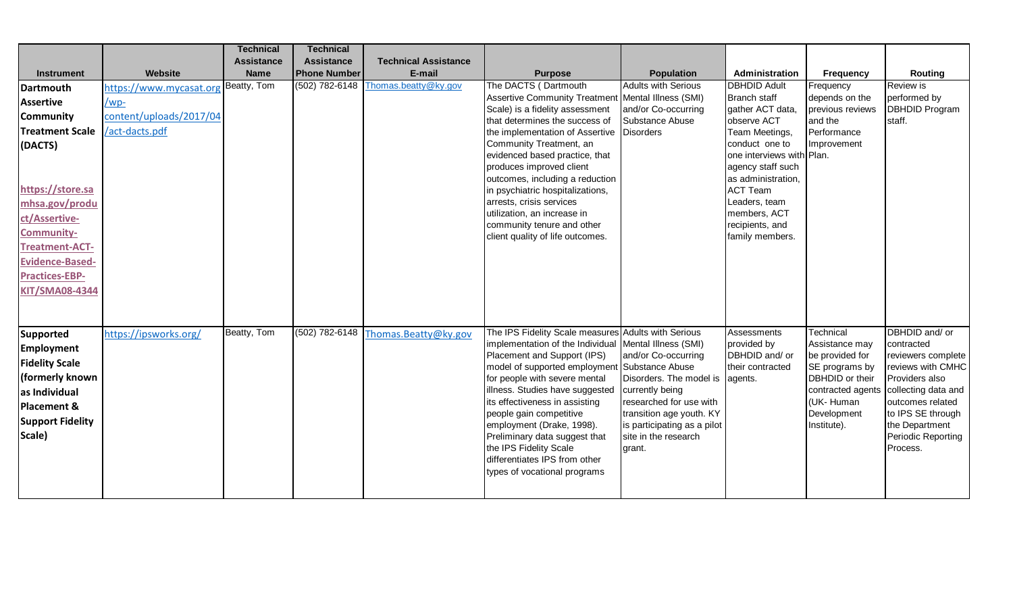|                         |                         | <b>Technical</b>  | <b>Technical</b>    |                             |                                                                   |                                                     |                                 |                                   |                                         |
|-------------------------|-------------------------|-------------------|---------------------|-----------------------------|-------------------------------------------------------------------|-----------------------------------------------------|---------------------------------|-----------------------------------|-----------------------------------------|
|                         |                         | <b>Assistance</b> | <b>Assistance</b>   | <b>Technical Assistance</b> |                                                                   |                                                     |                                 |                                   |                                         |
| <b>Instrument</b>       | Website                 | <b>Name</b>       | <b>Phone Number</b> | E-mail                      | <b>Purpose</b>                                                    | <b>Population</b>                                   | Administration                  | <b>Frequency</b>                  | Routing                                 |
| Dartmouth               | https://www.mycasat.org | Beatty, Tom       | (502) 782-6148      | Thomas.beatty@ky.gov        | The DACTS (Dartmouth                                              | <b>Adults with Serious</b>                          | <b>DBHDID Adult</b>             | Frequency                         | Review is                               |
| <b>Assertive</b>        | /wp-                    |                   |                     |                             | Assertive Community Treatment   Mental Illness (SMI)              |                                                     | <b>Branch staff</b>             | depends on the                    | performed by                            |
| <b>Community</b>        | content/uploads/2017/04 |                   |                     |                             | Scale) is a fidelity assessment<br>that determines the success of | and/or Co-occurring<br>Substance Abuse              | gather ACT data,<br>observe ACT | previous reviews<br>and the       | <b>DBHDID Program</b><br>staff.         |
| <b>Treatment Scale</b>  | /act-dacts.pdf          |                   |                     |                             | the implementation of Assertive   Disorders                       |                                                     | Team Meetings,                  | Performance                       |                                         |
| (DACTS)                 |                         |                   |                     |                             | Community Treatment, an                                           |                                                     | conduct one to                  | Improvement                       |                                         |
|                         |                         |                   |                     |                             | evidenced based practice, that                                    |                                                     | one interviews with Plan.       |                                   |                                         |
|                         |                         |                   |                     |                             | produces improved client                                          |                                                     | agency staff such               |                                   |                                         |
|                         |                         |                   |                     |                             | outcomes, including a reduction                                   |                                                     | as administration,              |                                   |                                         |
| https://store.sa        |                         |                   |                     |                             | in psychiatric hospitalizations,<br>arrests, crisis services      |                                                     | ACT Team<br>Leaders, team       |                                   |                                         |
| mhsa.gov/produ          |                         |                   |                     |                             | utilization, an increase in                                       |                                                     | members, ACT                    |                                   |                                         |
| ct/Assertive-           |                         |                   |                     |                             | community tenure and other                                        |                                                     | recipients, and                 |                                   |                                         |
| <b>Community-</b>       |                         |                   |                     |                             | client quality of life outcomes.                                  |                                                     | family members.                 |                                   |                                         |
| <b>Treatment-ACT-</b>   |                         |                   |                     |                             |                                                                   |                                                     |                                 |                                   |                                         |
| <b>Evidence-Based-</b>  |                         |                   |                     |                             |                                                                   |                                                     |                                 |                                   |                                         |
| <b>Practices-EBP-</b>   |                         |                   |                     |                             |                                                                   |                                                     |                                 |                                   |                                         |
| <b>KIT/SMA08-4344</b>   |                         |                   |                     |                             |                                                                   |                                                     |                                 |                                   |                                         |
|                         |                         |                   |                     |                             |                                                                   |                                                     |                                 |                                   |                                         |
|                         |                         |                   |                     |                             |                                                                   |                                                     |                                 |                                   |                                         |
| Supported               | https://ipsworks.org/   | Beatty, Tom       | $(502)$ 782-6148    | Thomas.Beatty@ky.gov        | The IPS Fidelity Scale measures Adults with Serious               |                                                     | Assessments                     | Technical                         | DBHDID and/ or                          |
| <b>Employment</b>       |                         |                   |                     |                             | implementation of the Individual Mental Illness (SMI)             |                                                     | provided by<br>DBHDID and/ or   | Assistance may                    | contracted                              |
| <b>Fidelity Scale</b>   |                         |                   |                     |                             | Placement and Support (IPS)<br>model of supported employment      | and/or Co-occurring<br>Substance Abuse              | their contracted                | be provided for<br>SE programs by | reviewers complete<br>reviews with CMHC |
| (formerly known         |                         |                   |                     |                             | for people with severe mental                                     | Disorders. The model is                             | agents.                         | DBHDID or their                   | Providers also                          |
| as Individual           |                         |                   |                     |                             | illness. Studies have suggested                                   | currently being                                     |                                 | contracted agents                 | collecting data and                     |
| Placement &             |                         |                   |                     |                             | its effectiveness in assisting                                    | researched for use with                             |                                 | (UK-Human                         | outcomes related                        |
| <b>Support Fidelity</b> |                         |                   |                     |                             | people gain competitive                                           | transition age youth. KY                            |                                 | Development                       | to IPS SE through                       |
| Scale)                  |                         |                   |                     |                             | employment (Drake, 1998).<br>Preliminary data suggest that        | is participating as a pilot<br>site in the research |                                 | Institute).                       | the Department<br>Periodic Reporting    |
|                         |                         |                   |                     |                             | the IPS Fidelity Scale                                            | grant.                                              |                                 |                                   | Process.                                |
|                         |                         |                   |                     |                             | differentiates IPS from other                                     |                                                     |                                 |                                   |                                         |
|                         |                         |                   |                     |                             | types of vocational programs                                      |                                                     |                                 |                                   |                                         |
|                         |                         |                   |                     |                             |                                                                   |                                                     |                                 |                                   |                                         |
|                         |                         |                   |                     |                             |                                                                   |                                                     |                                 |                                   |                                         |